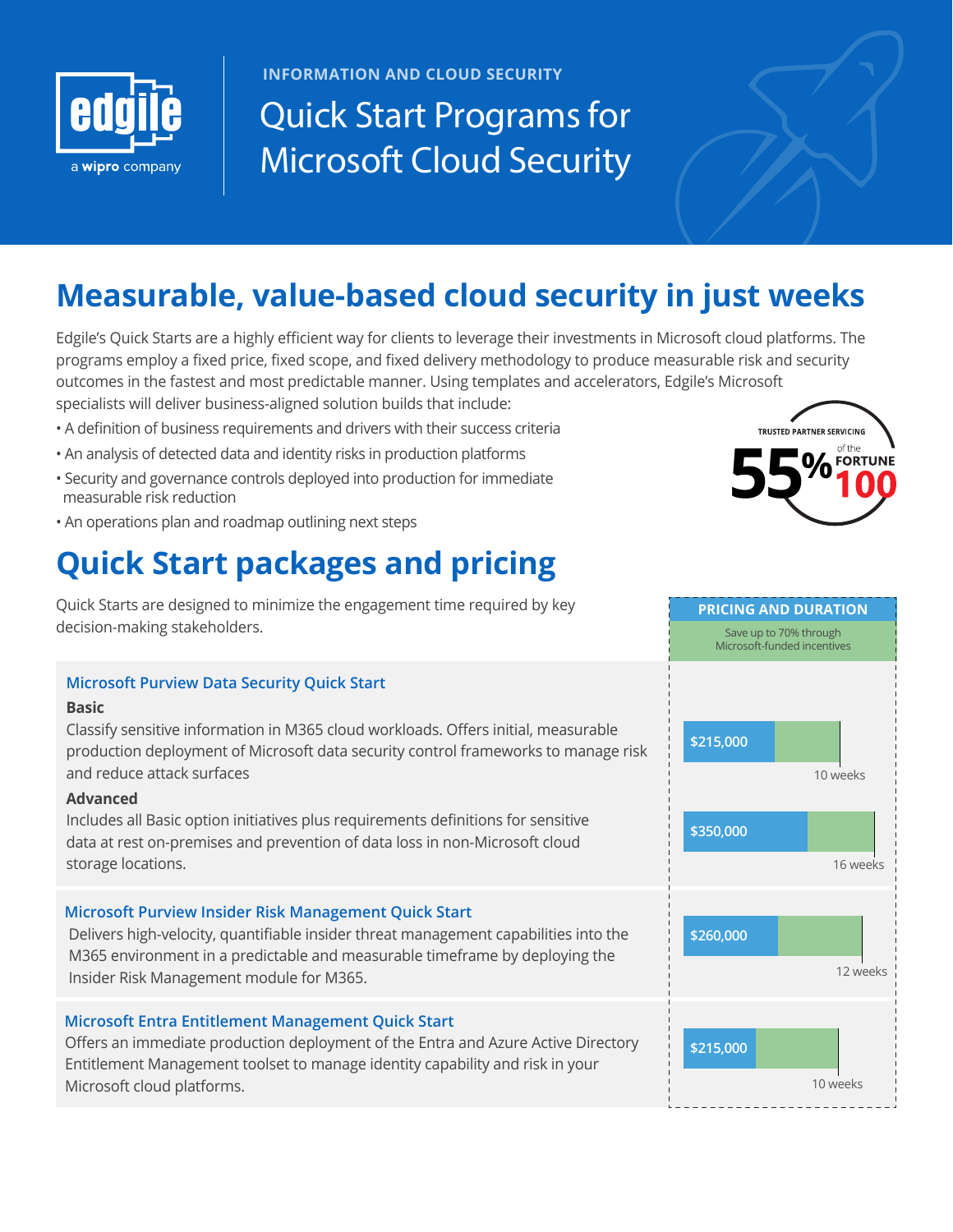

**INFORMATION AND CLOUD SECURITY**

# **Quick Start Programs for Microsoft Cloud Security**

### **Measurable, value-based cloud security in just weeks**

Edgile's Quick Starts are a highly efficient way for clients to leverage their investments in Microsoft cloud platforms. The programs employ a fixed price, fixed scope, and fixed delivery methodology to produce measurable risk and security outcomes in the fastest and most predictable manner. Using templates and accelerators, Edgile's Microsoft specialists will deliver business-aligned solution builds that include:

- A definition of business requirements and drivers with their success criteria
- An analysis of detected data and identity risks in production platforms
- Security and governance controls deployed into production for immediate measurable risk reduction
- An operations plan and roadmap outlining next steps

## **Quick Start packages and pricing**

Quick Starts are designed to minimize the engagement time required by key decision-making stakeholders.

#### **Microsoft Purview Data Security Quick Start**

#### **Basic**

Classify sensitive information in M365 cloud workloads. Offers initial, measurable production deployment of Microsoft data security control frameworks to manage risk and reduce attack surfaces

#### **Advanced**

Includes all Basic option initiatives plus requirements definitions for sensitive data at rest on-premises and prevention of data loss in non-Microsoft cloud storage locations.

#### **Microsoft Purview Insider Risk Management Quick Start**

Delivers high-velocity, quantifiable insider threat management capabilities into the M365 environment in a predictable and measurable timeframe by deploying the Insider Risk Management module for M365.

#### **Microsoft Entra Entitlement Management Quick Start**

Offers an immediate production deployment of the Entra and Azure Active Directory Entitlement Management toolset to manage identity capability and risk in your Microsoft cloud platforms.





**PRICING AND DURATION**